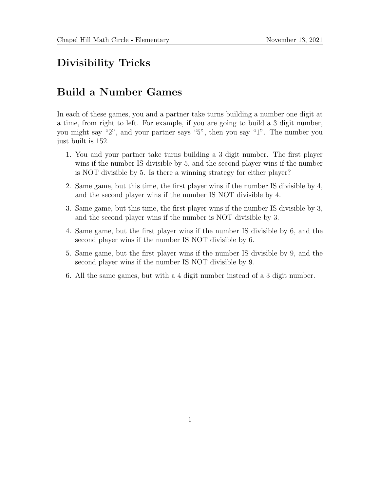## Divisibility Tricks

## Build a Number Games

In each of these games, you and a partner take turns building a number one digit at a time, from right to left. For example, if you are going to build a 3 digit number, you might say "2", and your partner says "5", then you say "1". The number you just built is 152.

- 1. You and your partner take turns building a 3 digit number. The first player wins if the number IS divisible by 5, and the second player wins if the number is NOT divisible by 5. Is there a winning strategy for either player?
- 2. Same game, but this time, the first player wins if the number IS divisible by 4, and the second player wins if the number IS NOT divisible by 4.
- 3. Same game, but this time, the first player wins if the number IS divisible by 3, and the second player wins if the number is NOT divisible by 3.
- 4. Same game, but the first player wins if the number IS divisible by 6, and the second player wins if the number IS NOT divisible by 6.
- 5. Same game, but the first player wins if the number IS divisible by 9, and the second player wins if the number IS NOT divisible by 9.
- 6. All the same games, but with a 4 digit number instead of a 3 digit number.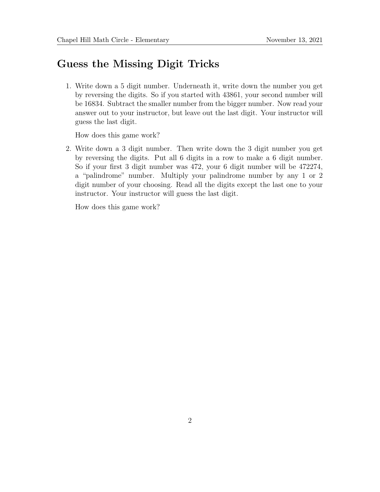## Guess the Missing Digit Tricks

1. Write down a 5 digit number. Underneath it, write down the number you get by reversing the digits. So if you started with 43861, your second number will be 16834. Subtract the smaller number from the bigger number. Now read your answer out to your instructor, but leave out the last digit. Your instructor will guess the last digit.

How does this game work?

2. Write down a 3 digit number. Then write down the 3 digit number you get by reversing the digits. Put all 6 digits in a row to make a 6 digit number. So if your first 3 digit number was 472, your 6 digit number will be 472274, a "palindrome" number. Multiply your palindrome number by any 1 or 2 digit number of your choosing. Read all the digits except the last one to your instructor. Your instructor will guess the last digit.

How does this game work?